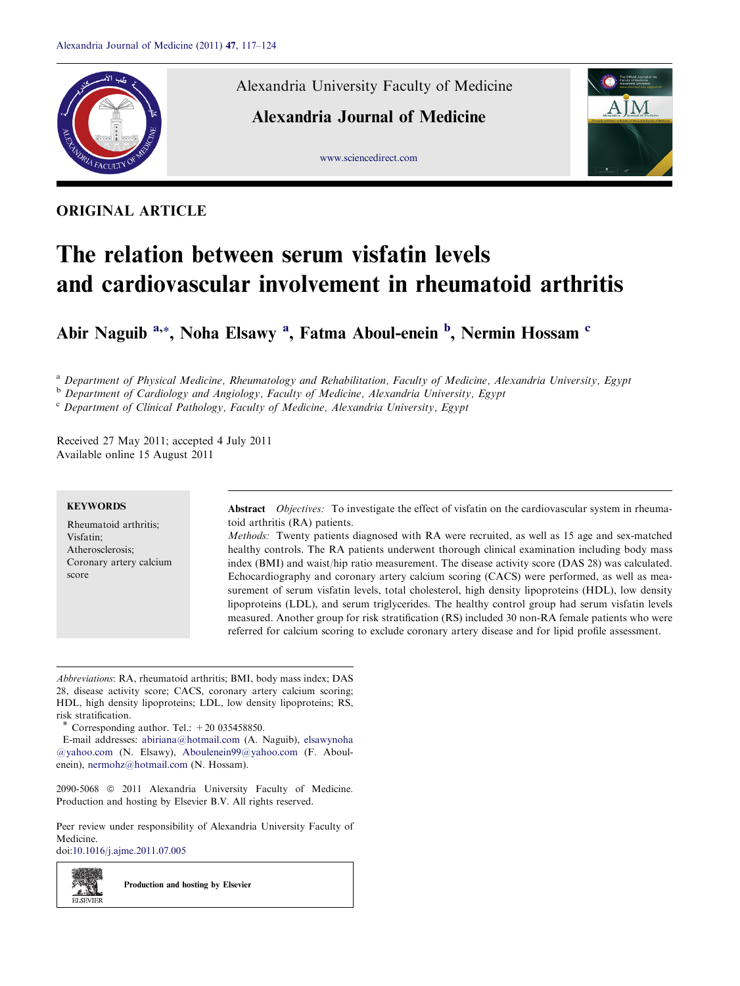

# ORIGINAL ARTICLE

Alexandria University Faculty of Medicine

Alexandria Journal of Medicine





# The relation between serum visfatin levels and cardiovascular involvement in rheumatoid arthritis

Abir Naguib <sup>a,</sup>\*, Noha Elsawy <sup>a</sup>, Fatma Aboul-enein <sup>b</sup>, Nermin Hossam <sup>c</sup>

<sup>a</sup> Department of Physical Medicine, Rheumatology and Rehabilitation, Faculty of Medicine, Alexandria University, Egypt

<sup>b</sup> Department of Cardiology and Angiology, Faculty of Medicine, Alexandria University, Egypt

 $c$  Department of Clinical Pathology, Faculty of Medicine, Alexandria University, Egypt

Received 27 May 2011; accepted 4 July 2011 Available online 15 August 2011

#### **KEYWORDS**

Rheumatoid arthritis; Visfatin; Atherosclerosis; Coronary artery calcium score

Abstract Objectives: To investigate the effect of visfatin on the cardiovascular system in rheumatoid arthritis (RA) patients.

Methods: Twenty patients diagnosed with RA were recruited, as well as 15 age and sex-matched healthy controls. The RA patients underwent thorough clinical examination including body mass index (BMI) and waist/hip ratio measurement. The disease activity score (DAS 28) was calculated. Echocardiography and coronary artery calcium scoring (CACS) were performed, as well as measurement of serum visfatin levels, total cholesterol, high density lipoproteins (HDL), low density lipoproteins (LDL), and serum triglycerides. The healthy control group had serum visfatin levels measured. Another group for risk stratification (RS) included 30 non-RA female patients who were referred for calcium scoring to exclude coronary artery disease and for lipid profile assessment.

Abbreviations: RA, rheumatoid arthritis; BMI, body mass index; DAS 28, disease activity score; CACS, coronary artery calcium scoring; HDL, high density lipoproteins; LDL, low density lipoproteins; RS, risk stratification.

Corresponding author. Tel.:  $+20$  035458850.

E-mail addresses: [abiriana@hotmail.com](mailto:abiriana@hotmail.com) (A. Naguib), [elsawynoha](mailto:elsawynoha @yahoo.com) [@yahoo.com](mailto:elsawynoha @yahoo.com) (N. Elsawy), [Aboulenein99@yahoo.com](mailto:Aboulenein99@yahoo.com) (F. Aboulenein), [nermohz@hotmail.com](mailto:nermohz@hotmail.com) (N. Hossam).

2090-5068 © 2011 Alexandria University Faculty of Medicine. Production and hosting by Elsevier B.V. All rights reserved.

Peer review under responsibility of Alexandria University Faculty of Medicine.

doi[:10.1016/j.ajme.2011.07.005](http://dx.doi.org/10.1016/j.ajme.2011.07.005)

Production and hosting by Elsevier

z. SI **ELSEVIEE**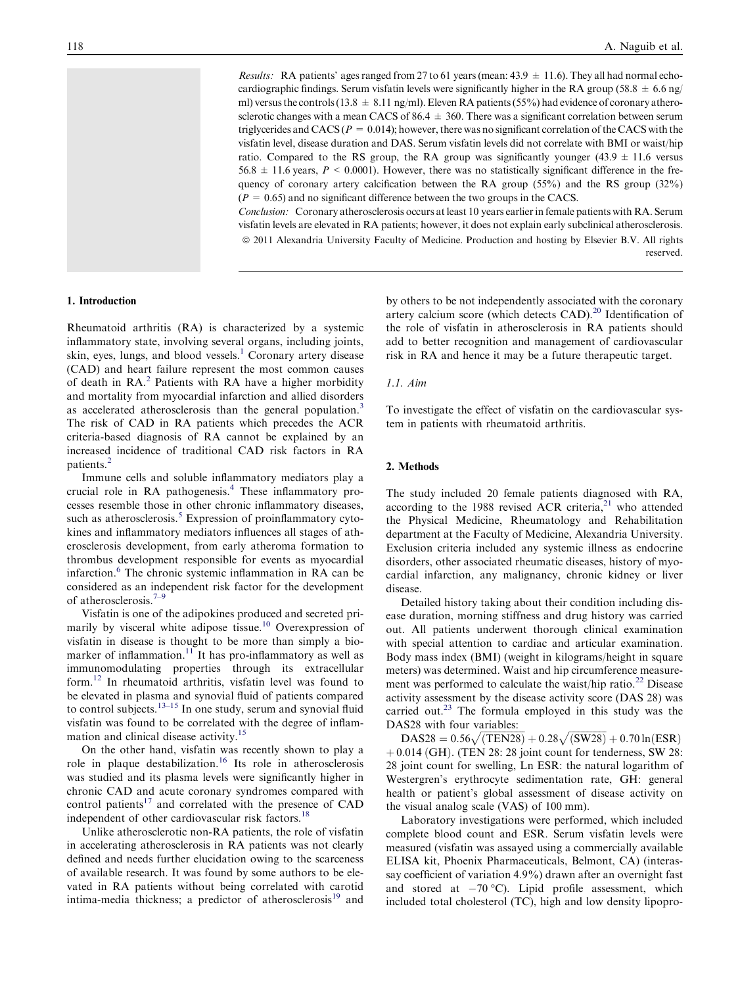*Results:* RA patients' ages ranged from 27 to 61 years (mean:  $43.9 \pm 11.6$ ). They all had normal echocardiographic findings. Serum visfatin levels were significantly higher in the RA group (58.8  $\pm$  6.6 ng/ ml) versus the controls (13.8  $\pm$  8.11 ng/ml). Eleven RA patients (55%) had evidence of coronary atherosclerotic changes with a mean CACS of 86.4  $\pm$  360. There was a significant correlation between serum triglycerides and CACS ( $P = 0.014$ ); however, there was no significant correlation of the CACS with the visfatin level, disease duration and DAS. Serum visfatin levels did not correlate with BMI or waist/hip ratio. Compared to the RS group, the RA group was significantly younger  $(43.9 \pm 11.6 \text{ versus})$  $56.8 \pm 11.6$  years,  $P < 0.0001$ ). However, there was no statistically significant difference in the frequency of coronary artery calcification between the RA group (55%) and the RS group (32%)  $(P = 0.65)$  and no significant difference between the two groups in the CACS.

Conclusion: Coronary atherosclerosis occurs at least 10 years earlier in female patients with RA. Serum visfatin levels are elevated in RA patients; however, it does not explain early subclinical atherosclerosis. ª 2011 Alexandria University Faculty of Medicine. Production and hosting by Elsevier B.V. All rights reserved.

## 1. Introduction

Rheumatoid arthritis (RA) is characterized by a systemic inflammatory state, involving several organs, including joints, skin, eyes, lungs, and blood vessels.<sup>1</sup> Coronary artery disease (CAD) and heart failure represent the most common causes of death in RA.<sup>[2](#page-5-0)</sup> Patients with RA have a higher morbidity and mortality from myocardial infarction and allied disorders as accelerated atherosclerosis than the general population.<sup>[3](#page-5-0)</sup> The risk of CAD in RA patients which precedes the ACR criteria-based diagnosis of RA cannot be explained by an increased incidence of traditional CAD risk factors in RA patients.[2](#page-5-0)

Immune cells and soluble inflammatory mediators play a crucial role in RA pathogenesis.[4](#page-5-0) These inflammatory processes resemble those in other chronic inflammatory diseases, such as atherosclerosis.<sup>[5](#page-5-0)</sup> Expression of proinflammatory cytokines and inflammatory mediators influences all stages of atherosclerosis development, from early atheroma formation to thrombus development responsible for events as myocardial infarction.<sup>[6](#page-5-0)</sup> The chronic systemic inflammation in RA can be considered as an independent risk factor for the development of atherosclerosis.[7–9](#page-5-0)

Visfatin is one of the adipokines produced and secreted primarily by visceral white adipose tissue.<sup>10</sup> Overexpression of visfatin in disease is thought to be more than simply a bio-marker of inflammation.<sup>[11](#page-5-0)</sup> It has pro-inflammatory as well as immunomodulating properties through its extracellular form.[12](#page-5-0) In rheumatoid arthritis, visfatin level was found to be elevated in plasma and synovial fluid of patients compared to control subjects.<sup>13-15</sup> In one study, serum and synovial fluid visfatin was found to be correlated with the degree of inflam-mation and clinical disease activity.<sup>[15](#page-5-0)</sup>

On the other hand, visfatin was recently shown to play a role in plaque destabilization.[16](#page-5-0) Its role in atherosclerosis was studied and its plasma levels were significantly higher in chronic CAD and acute coronary syndromes compared with control patients $17$  and correlated with the presence of CAD independent of other cardiovascular risk factors.<sup>[18](#page-5-0)</sup>

Unlike atherosclerotic non-RA patients, the role of visfatin in accelerating atherosclerosis in RA patients was not clearly defined and needs further elucidation owing to the scarceness of available research. It was found by some authors to be elevated in RA patients without being correlated with carotid intima-media thickness; a predictor of atherosclerosis<sup>[19](#page-5-0)</sup> and

by others to be not independently associated with the coronary artery calcium score (which detects CAD).<sup>[20](#page-5-0)</sup> Identification of the role of visfatin in atherosclerosis in RA patients should add to better recognition and management of cardiovascular risk in RA and hence it may be a future therapeutic target.

# 1.1. Aim

To investigate the effect of visfatin on the cardiovascular system in patients with rheumatoid arthritis.

### 2. Methods

The study included 20 female patients diagnosed with RA, according to the 1988 revised ACR criteria, $^{21}$  $^{21}$  $^{21}$  who attended the Physical Medicine, Rheumatology and Rehabilitation department at the Faculty of Medicine, Alexandria University. Exclusion criteria included any systemic illness as endocrine disorders, other associated rheumatic diseases, history of myocardial infarction, any malignancy, chronic kidney or liver disease.

Detailed history taking about their condition including disease duration, morning stiffness and drug history was carried out. All patients underwent thorough clinical examination with special attention to cardiac and articular examination. Body mass index (BMI) (weight in kilograms/height in square meters) was determined. Waist and hip circumference measure-ment was performed to calculate the waist/hip ratio.<sup>[22](#page-6-0)</sup> Disease activity assessment by the disease activity score (DAS 28) was carried out.<sup>[23](#page-6-0)</sup> The formula employed in this study was the DAS28 with four variables:

 $DAS28 = 0.56 \sqrt{(TEN28)} + 0.28 \sqrt{(SW28)} + 0.70 \ln(ESR)$  $+0.014$  (GH). (TEN 28: 28 joint count for tenderness, SW 28: 28 joint count for swelling, Ln ESR: the natural logarithm of Westergren's erythrocyte sedimentation rate, GH: general health or patient's global assessment of disease activity on the visual analog scale (VAS) of 100 mm).

Laboratory investigations were performed, which included complete blood count and ESR. Serum visfatin levels were measured (visfatin was assayed using a commercially available ELISA kit, Phoenix Pharmaceuticals, Belmont, CA) (interassay coefficient of variation 4.9%) drawn after an overnight fast and stored at  $-70^{\circ}$ C). Lipid profile assessment, which included total cholesterol (TC), high and low density lipopro-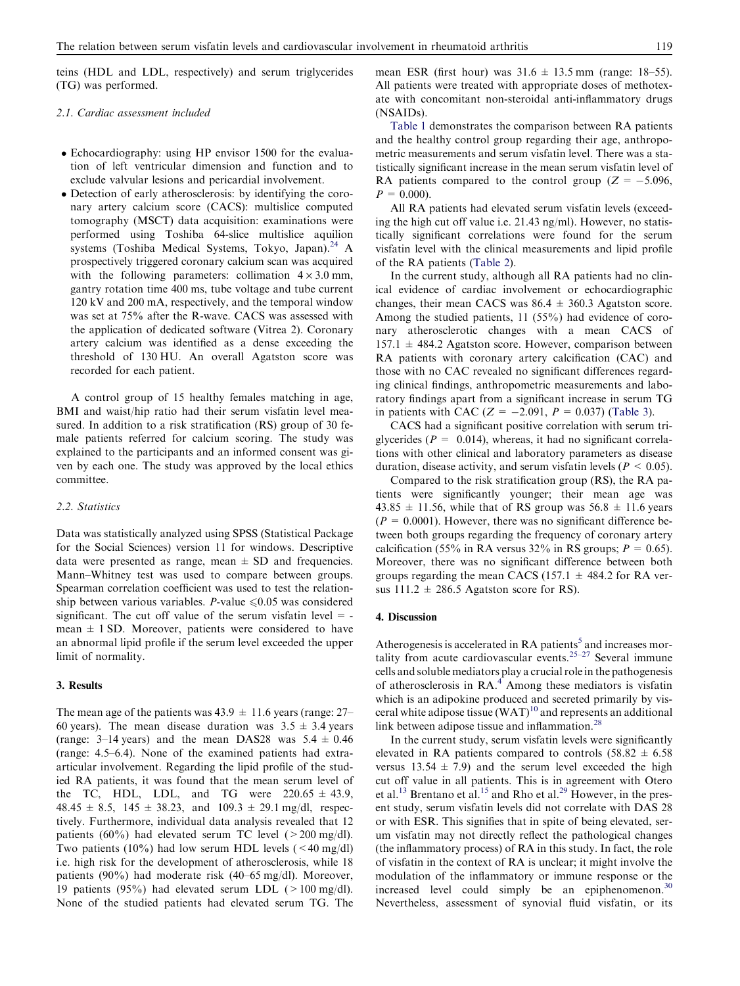teins (HDL and LDL, respectively) and serum triglycerides (TG) was performed.

#### 2.1. Cardiac assessment included

- Echocardiography: using HP envisor 1500 for the evaluation of left ventricular dimension and function and to exclude valvular lesions and pericardial involvement.
- Detection of early atherosclerosis: by identifying the coronary artery calcium score (CACS): multislice computed tomography (MSCT) data acquisition: examinations were performed using Toshiba 64-slice multislice aquilion systems (Toshiba Medical Systems, Tokyo, Japan).<sup>[24](#page-6-0)</sup> A prospectively triggered coronary calcium scan was acquired with the following parameters: collimation  $4 \times 3.0$  mm, gantry rotation time 400 ms, tube voltage and tube current 120 kV and 200 mA, respectively, and the temporal window was set at 75% after the R-wave. CACS was assessed with the application of dedicated software (Vitrea 2). Coronary artery calcium was identified as a dense exceeding the threshold of 130 HU. An overall Agatston score was recorded for each patient.

A control group of 15 healthy females matching in age, BMI and waist/hip ratio had their serum visfatin level measured. In addition to a risk stratification (RS) group of 30 female patients referred for calcium scoring. The study was explained to the participants and an informed consent was given by each one. The study was approved by the local ethics committee.

#### 2.2. Statistics

Data was statistically analyzed using SPSS (Statistical Package for the Social Sciences) version 11 for windows. Descriptive data were presented as range, mean  $\pm$  SD and frequencies. Mann–Whitney test was used to compare between groups. Spearman correlation coefficient was used to test the relationship between various variables. P-value  $\leq 0.05$  was considered significant. The cut off value of the serum visfatin level  $=$  mean  $\pm$  1 SD. Moreover, patients were considered to have an abnormal lipid profile if the serum level exceeded the upper limit of normality.

#### 3. Results

The mean age of the patients was  $43.9 \pm 11.6$  years (range: 27– 60 years). The mean disease duration was  $3.5 \pm 3.4$  years (range: 3–14 years) and the mean DAS28 was  $5.4 \pm 0.46$ (range: 4.5–6.4). None of the examined patients had extraarticular involvement. Regarding the lipid profile of the studied RA patients, it was found that the mean serum level of the TC, HDL, LDL, and TG were  $220.65 \pm 43.9$ ,  $48.45 \pm 8.5$ ,  $145 \pm 38.23$ , and  $109.3 \pm 29.1$  mg/dl, respectively. Furthermore, individual data analysis revealed that 12 patients (60%) had elevated serum TC level ( $>200 \text{ mg/dl}$ ). Two patients (10%) had low serum HDL levels ( $\leq 40$  mg/dl) i.e. high risk for the development of atherosclerosis, while 18 patients (90%) had moderate risk (40–65 mg/dl). Moreover, 19 patients (95%) had elevated serum LDL ( $>100 \text{ mg/dl}$ ). None of the studied patients had elevated serum TG. The mean ESR (first hour) was  $31.6 \pm 13.5$  mm (range: 18–55). All patients were treated with appropriate doses of methotexate with concomitant non-steroidal anti-inflammatory drugs (NSAIDs).

[Table 1](#page-3-0) demonstrates the comparison between RA patients and the healthy control group regarding their age, anthropometric measurements and serum visfatin level. There was a statistically significant increase in the mean serum visfatin level of RA patients compared to the control group ( $Z = -5.096$ ,  $P = 0.000$ .

All RA patients had elevated serum visfatin levels (exceeding the high cut off value i.e. 21.43 ng/ml). However, no statistically significant correlations were found for the serum visfatin level with the clinical measurements and lipid profile of the RA patients [\(Table 2](#page-3-0)).

In the current study, although all RA patients had no clinical evidence of cardiac involvement or echocardiographic changes, their mean CACS was  $86.4 \pm 360.3$  Agatston score. Among the studied patients, 11 (55%) had evidence of coronary atherosclerotic changes with a mean CACS of  $157.1 \pm 484.2$  Agatston score. However, comparison between RA patients with coronary artery calcification (CAC) and those with no CAC revealed no significant differences regarding clinical findings, anthropometric measurements and laboratory findings apart from a significant increase in serum TG in patients with CAC  $(Z = -2.091, P = 0.037)$  ([Table 3](#page-4-0)).

CACS had a significant positive correlation with serum triglycerides ( $P = 0.014$ ), whereas, it had no significant correlations with other clinical and laboratory parameters as disease duration, disease activity, and serum visfatin levels ( $P < 0.05$ ).

Compared to the risk stratification group (RS), the RA patients were significantly younger; their mean age was  $43.85 \pm 11.56$ , while that of RS group was  $56.8 \pm 11.6$  years  $(P = 0.0001)$ . However, there was no significant difference between both groups regarding the frequency of coronary artery calcification (55% in RA versus 32% in RS groups;  $P = 0.65$ ). Moreover, there was no significant difference between both groups regarding the mean CACS (157.1  $\pm$  484.2 for RA versus  $111.2 \pm 286.5$  Agatston score for RS).

#### 4. Discussion

Atherogenesis is accelerated in RA patients<sup>[5](#page-5-0)</sup> and increases mor-tality from acute cardiovascular events.<sup>[25–27](#page-6-0)</sup> Several immune cells and soluble mediators play a crucial role in the pathogenesis of atherosclerosis in RA.<sup>[4](#page-5-0)</sup> Among these mediators is visfatin which is an adipokine produced and secreted primarily by visceral white adipose tissue  $(WAT)^{10}$  $(WAT)^{10}$  $(WAT)^{10}$  and represents an additional link between adipose tissue and inflammation.<sup>[28](#page-6-0)</sup>

In the current study, serum visfatin levels were significantly elevated in RA patients compared to controls  $(58.82 \pm 6.58)$ versus  $13.54 \pm 7.9$ ) and the serum level exceeded the high cut off value in all patients. This is in agreement with Otero et al.<sup>[13](#page-5-0)</sup> Brentano et al.<sup>[15](#page-5-0)</sup> and Rho et al.<sup>29</sup> However, in the present study, serum visfatin levels did not correlate with DAS 28 or with ESR. This signifies that in spite of being elevated, serum visfatin may not directly reflect the pathological changes (the inflammatory process) of RA in this study. In fact, the role of visfatin in the context of RA is unclear; it might involve the modulation of the inflammatory or immune response or the increased level could simply be an epiphenomenon.<sup>[30](#page-6-0)</sup> Nevertheless, assessment of synovial fluid visfatin, or its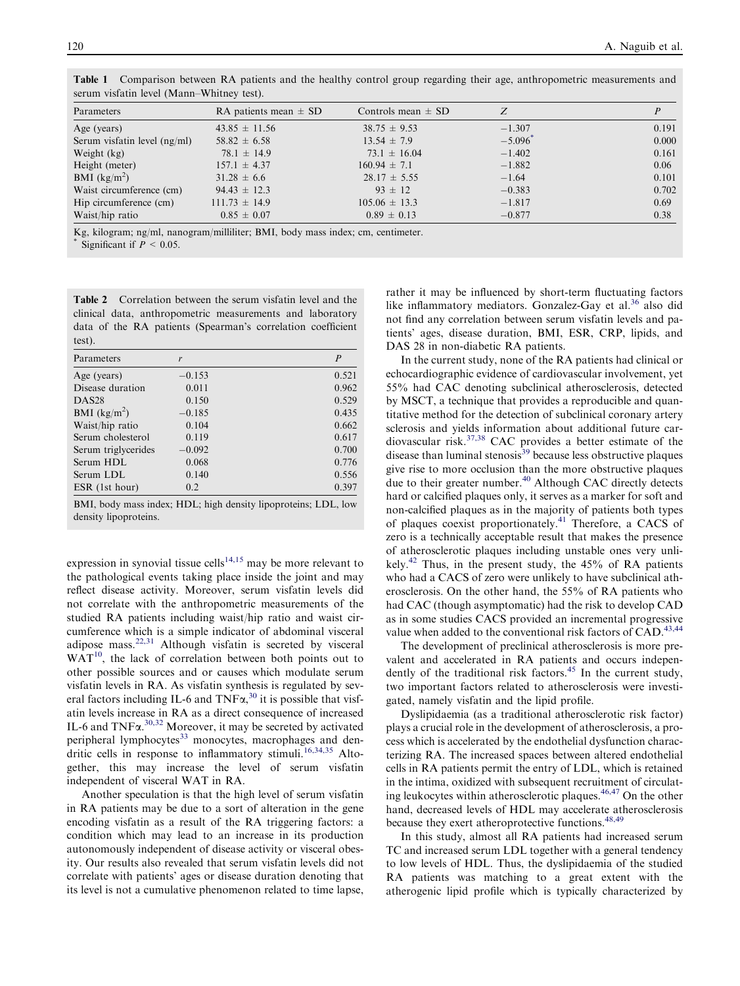| Parameters                     | RA patients mean $\pm$ SD | Controls mean $\pm$ SD | Z                     |       |
|--------------------------------|---------------------------|------------------------|-----------------------|-------|
| Age (years)                    | $43.85 \pm 11.56$         | $38.75 \pm 9.53$       | $-1.307$              | 0.191 |
| Serum visfatin level $(ng/ml)$ | $58.82 \pm 6.58$          | $13.54 \pm 7.9$        | $-5.096$ <sup>*</sup> | 0.000 |
| Weight (kg)                    | $78.1 \pm 14.9$           | $73.1 \pm 16.04$       | $-1.402$              | 0.161 |
| Height (meter)                 | $157.1 \pm 4.37$          | $160.94 \pm 7.1$       | $-1.882$              | 0.06  |
| BMI $(kg/m2)$                  | $31.28 \pm 6.6$           | $28.17 \pm 5.55$       | $-1.64$               | 0.101 |
| Waist circumference (cm)       | $94.43 \pm 12.3$          | $93 \pm 12$            | $-0.383$              | 0.702 |
| Hip circumference (cm)         | $111.73 \pm 14.9$         | $105.06 \pm 13.3$      | $-1.817$              | 0.69  |
| Waist/hip ratio                | $0.85 \pm 0.07$           | $0.89 \pm 0.13$        | $-0.877$              | 0.38  |

<span id="page-3-0"></span>Table 1 Comparison between RA patients and the healthy control group regarding their age, anthropometric measurements and serum visfatin level (Mann–Whitney test).

Kg, kilogram; ng/ml, nanogram/milliliter; BMI, body mass index; cm, centimeter. Significant if  $P < 0.05$ .

Table 2 Correlation between the serum visfatin level and the clinical data, anthropometric measurements and laboratory data of the RA patients (Spearman's correlation coefficient test).

| Parameters          | r        | P     |
|---------------------|----------|-------|
| Age (years)         | $-0.153$ | 0.521 |
| Disease duration    | 0.011    | 0.962 |
| DAS <sub>28</sub>   | 0.150    | 0.529 |
| BMI $(kg/m^2)$      | $-0.185$ | 0.435 |
| Waist/hip ratio     | 0.104    | 0.662 |
| Serum cholesterol   | 0.119    | 0.617 |
| Serum triglycerides | $-0.092$ | 0.700 |
| Serum HDL           | 0.068    | 0.776 |
| Serum LDL           | 0.140    | 0.556 |
| ESR (1st hour)      | 0.2      | 0.397 |

BMI, body mass index; HDL; high density lipoproteins; LDL, low density lipoproteins.

expression in synovial tissue cells<sup>[14,15](#page-5-0)</sup> may be more relevant to the pathological events taking place inside the joint and may reflect disease activity. Moreover, serum visfatin levels did not correlate with the anthropometric measurements of the studied RA patients including waist/hip ratio and waist circumference which is a simple indicator of abdominal visceral adipose mass.[22,31](#page-6-0) Although visfatin is secreted by visceral  $WAT^{10}$  $WAT^{10}$  $WAT^{10}$ , the lack of correlation between both points out to other possible sources and or causes which modulate serum visfatin levels in RA. As visfatin synthesis is regulated by several factors including IL-6 and  $TNF\alpha$ ,<sup>[30](#page-6-0)</sup> it is possible that visfatin levels increase in RA as a direct consequence of increased IL-6 and  $TNF\alpha$ .<sup>[30,32](#page-6-0)</sup> Moreover, it may be secreted by activated peripheral lymphocytes<sup>[33](#page-6-0)</sup> monocytes, macrophages and den-dritic cells in response to inflammatory stimuli.<sup>[16,34,35](#page-5-0)</sup> Altogether, this may increase the level of serum visfatin independent of visceral WAT in RA.

Another speculation is that the high level of serum visfatin in RA patients may be due to a sort of alteration in the gene encoding visfatin as a result of the RA triggering factors: a condition which may lead to an increase in its production autonomously independent of disease activity or visceral obesity. Our results also revealed that serum visfatin levels did not correlate with patients' ages or disease duration denoting that its level is not a cumulative phenomenon related to time lapse,

rather it may be influenced by short-term fluctuating factors like inflammatory mediators. Gonzalez-Gay et al.<sup>[36](#page-6-0)</sup> also did not find any correlation between serum visfatin levels and patients' ages, disease duration, BMI, ESR, CRP, lipids, and DAS 28 in non-diabetic RA patients.

In the current study, none of the RA patients had clinical or echocardiographic evidence of cardiovascular involvement, yet 55% had CAC denoting subclinical atherosclerosis, detected by MSCT, a technique that provides a reproducible and quantitative method for the detection of subclinical coronary artery sclerosis and yields information about additional future cardiovascular risk.[37,38](#page-6-0) CAC provides a better estimate of the disease than luminal stenosis $39$  because less obstructive plaques give rise to more occlusion than the more obstructive plaques due to their greater number.<sup>[40](#page-6-0)</sup> Although CAC directly detects hard or calcified plaques only, it serves as a marker for soft and non-calcified plaques as in the majority of patients both types of plaques coexist proportionately.[41](#page-6-0) Therefore, a CACS of zero is a technically acceptable result that makes the presence of atherosclerotic plaques including unstable ones very unli-kely.<sup>[42](#page-6-0)</sup> Thus, in the present study, the  $45\%$  of RA patients who had a CACS of zero were unlikely to have subclinical atherosclerosis. On the other hand, the 55% of RA patients who had CAC (though asymptomatic) had the risk to develop CAD as in some studies CACS provided an incremental progressive value when added to the conventional risk factors of CAD.<sup>[43,44](#page-6-0)</sup>

The development of preclinical atherosclerosis is more prevalent and accelerated in RA patients and occurs indepen-dently of the traditional risk factors.<sup>[45](#page-6-0)</sup> In the current study, two important factors related to atherosclerosis were investigated, namely visfatin and the lipid profile.

Dyslipidaemia (as a traditional atherosclerotic risk factor) plays a crucial role in the development of atherosclerosis, a process which is accelerated by the endothelial dysfunction characterizing RA. The increased spaces between altered endothelial cells in RA patients permit the entry of LDL, which is retained in the intima, oxidized with subsequent recruitment of circulating leukocytes within atherosclerotic plaques.[46,47](#page-6-0) On the other hand, decreased levels of HDL may accelerate atherosclerosis because they exert atheroprotective functions.<sup>[48,49](#page-6-0)</sup>

In this study, almost all RA patients had increased serum TC and increased serum LDL together with a general tendency to low levels of HDL. Thus, the dyslipidaemia of the studied RA patients was matching to a great extent with the atherogenic lipid profile which is typically characterized by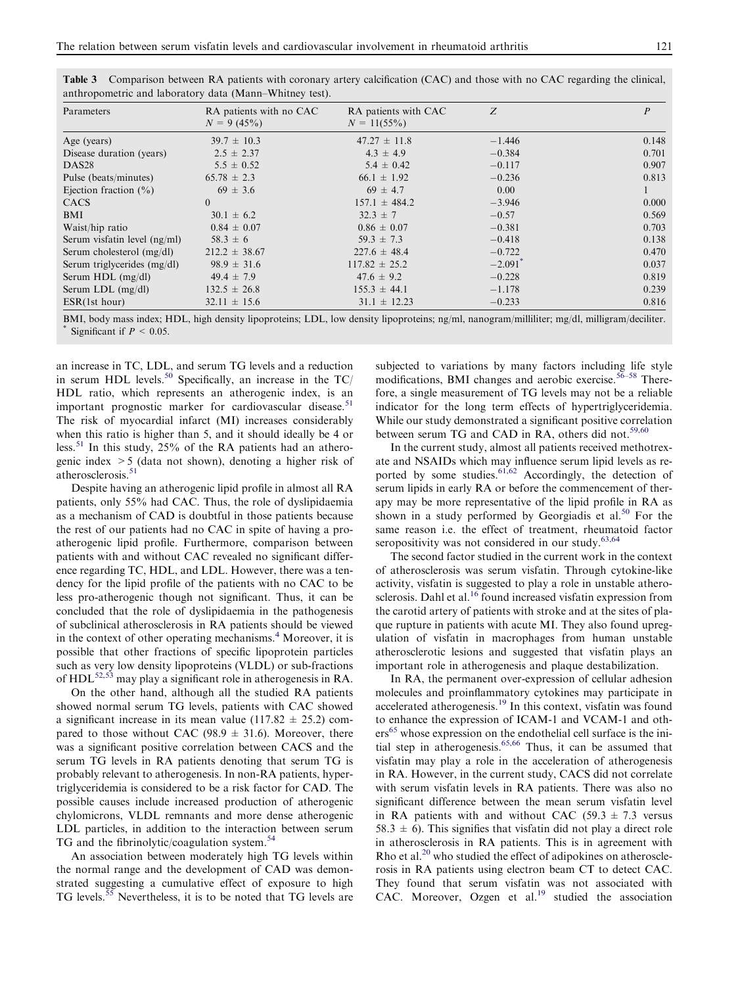| Parameters                     | RA patients with no CAC<br>$N = 9(45\%)$ | RA patients with CAC<br>$N = 11(55\%)$ | Z                     | $\overline{P}$ |
|--------------------------------|------------------------------------------|----------------------------------------|-----------------------|----------------|
| Age (years)                    | $39.7 \pm 10.3$                          | $47.27 \pm 11.8$                       | $-1.446$              | 0.148          |
| Disease duration (years)       | $2.5 \pm 2.37$                           | $4.3 \pm 4.9$                          | $-0.384$              | 0.701          |
| DAS <sub>28</sub>              | $5.5 \pm 0.52$                           | $5.4 \pm 0.42$                         | $-0.117$              | 0.907          |
| Pulse (beats/minutes)          | $65.78 \pm 2.3$                          | $66.1 \pm 1.92$                        | $-0.236$              | 0.813          |
| Ejection fraction $(\% )$      | $69 \pm 3.6$                             | $69 \pm 4.7$                           | 0.00                  |                |
| <b>CACS</b>                    | $\theta$                                 | $157.1 \pm 484.2$                      | $-3.946$              | 0.000          |
| BMI                            | $30.1 \pm 6.2$                           | $32.3 \pm 7$                           | $-0.57$               | 0.569          |
| Waist/hip ratio                | $0.84 \pm 0.07$                          | $0.86 \pm 0.07$                        | $-0.381$              | 0.703          |
| Serum visfatin level $(ng/ml)$ | $58.3 \pm 6$                             | $59.3 \pm 7.3$                         | $-0.418$              | 0.138          |
| Serum cholesterol $(mg/dl)$    | $212.2 \pm 38.67$                        | $227.6 \pm 48.4$                       | $-0.722$              | 0.470          |
| Serum triglycerides (mg/dl)    | $98.9 \pm 31.6$                          | $117.82 \pm 25.2$                      | $-2.091$ <sup>*</sup> | 0.037          |
| Serum HDL $(mg/dl)$            | $49.4 \pm 7.9$                           | $47.6 \pm 9.2$                         | $-0.228$              | 0.819          |
| Serum LDL (mg/dl)              | $132.5 \pm 26.8$                         | $155.3 \pm 44.1$                       | $-1.178$              | 0.239          |
| ESR(1st hour)                  | $32.11 \pm 15.6$                         | $31.1 \pm 12.23$                       | $-0.233$              | 0.816          |

<span id="page-4-0"></span>Table 3 Comparison between RA patients with coronary artery calcification (CAC) and those with no CAC regarding the clinical, anthropometric and laboratory data (Mann–Whitney test).

BMI, body mass index; HDL, high density lipoproteins; LDL, low density lipoproteins; ng/ml, nanogram/milliliter; mg/dl, milligram/deciliter. Significant if  $P < 0.05$ .

an increase in TC, LDL, and serum TG levels and a reduction in serum HDL levels.<sup>[50](#page-6-0)</sup> Specifically, an increase in the  $TC/$ HDL ratio, which represents an atherogenic index, is an important prognostic marker for cardiovascular disease.<sup>[51](#page-6-0)</sup> The risk of myocardial infarct (MI) increases considerably when this ratio is higher than 5, and it should ideally be 4 or less.[51](#page-6-0) In this study, 25% of the RA patients had an atherogenic index >5 (data not shown), denoting a higher risk of atherosclerosis.<sup>[51](#page-6-0)</sup>

Despite having an atherogenic lipid profile in almost all RA patients, only 55% had CAC. Thus, the role of dyslipidaemia as a mechanism of CAD is doubtful in those patients because the rest of our patients had no CAC in spite of having a proatherogenic lipid profile. Furthermore, comparison between patients with and without CAC revealed no significant difference regarding TC, HDL, and LDL. However, there was a tendency for the lipid profile of the patients with no CAC to be less pro-atherogenic though not significant. Thus, it can be concluded that the role of dyslipidaemia in the pathogenesis of subclinical atherosclerosis in RA patients should be viewed in the context of other operating mechanisms.<sup>[4](#page-5-0)</sup> Moreover, it is possible that other fractions of specific lipoprotein particles such as very low density lipoproteins (VLDL) or sub-fractions of  $HDL^{52,53}$  $HDL^{52,53}$  $HDL^{52,53}$  may play a significant role in atherogenesis in RA.

On the other hand, although all the studied RA patients showed normal serum TG levels, patients with CAC showed a significant increase in its mean value (117.82  $\pm$  25.2) compared to those without CAC (98.9  $\pm$  31.6). Moreover, there was a significant positive correlation between CACS and the serum TG levels in RA patients denoting that serum TG is probably relevant to atherogenesis. In non-RA patients, hypertriglyceridemia is considered to be a risk factor for CAD. The possible causes include increased production of atherogenic chylomicrons, VLDL remnants and more dense atherogenic LDL particles, in addition to the interaction between serum TG and the fibrinolytic/coagulation system.<sup>[54](#page-6-0)</sup>

An association between moderately high TG levels within the normal range and the development of CAD was demonstrated suggesting a cumulative effect of exposure to high TG levels.<sup>[55](#page-6-0)</sup> Nevertheless, it is to be noted that TG levels are subjected to variations by many factors including life style modifications, BMI changes and aerobic exercise.<sup>[56–58](#page-7-0)</sup> Therefore, a single measurement of TG levels may not be a reliable indicator for the long term effects of hypertriglyceridemia. While our study demonstrated a significant positive correlation between serum TG and CAD in RA, others did not.<sup>[59,60](#page-7-0)</sup>

In the current study, almost all patients received methotrexate and NSAIDs which may influence serum lipid levels as re-ported by some studies.<sup>[61,62](#page-7-0)</sup> Accordingly, the detection of serum lipids in early RA or before the commencement of therapy may be more representative of the lipid profile in RA as shown in a study performed by Georgiadis et al.<sup>50</sup> For the same reason i.e. the effect of treatment, rheumatoid factor seropositivity was not considered in our study.<sup>[63,64](#page-7-0)</sup>

The second factor studied in the current work in the context of atherosclerosis was serum visfatin. Through cytokine-like activity, visfatin is suggested to play a role in unstable atherosclerosis. Dahl et al.<sup>16</sup> found increased visfatin expression from the carotid artery of patients with stroke and at the sites of plaque rupture in patients with acute MI. They also found upregulation of visfatin in macrophages from human unstable atherosclerotic lesions and suggested that visfatin plays an important role in atherogenesis and plaque destabilization.

In RA, the permanent over-expression of cellular adhesion molecules and proinflammatory cytokines may participate in accelerated atherogenesis.[19](#page-5-0) In this context, visfatin was found to enhance the expression of ICAM-1 and VCAM-1 and oth-ers<sup>[65](#page-7-0)</sup> whose expression on the endothelial cell surface is the initial step in atherogenesis.[65,66](#page-7-0) Thus, it can be assumed that visfatin may play a role in the acceleration of atherogenesis in RA. However, in the current study, CACS did not correlate with serum visfatin levels in RA patients. There was also no significant difference between the mean serum visfatin level in RA patients with and without CAC (59.3  $\pm$  7.3 versus 58.3  $\pm$  6). This signifies that visfatin did not play a direct role in atherosclerosis in RA patients. This is in agreement with Rho et al.<sup>[20](#page-5-0)</sup> who studied the effect of adipokines on atherosclerosis in RA patients using electron beam CT to detect CAC. They found that serum visfatin was not associated with CAC. Moreover, Ozgen et al.<sup>[19](#page-5-0)</sup> studied the association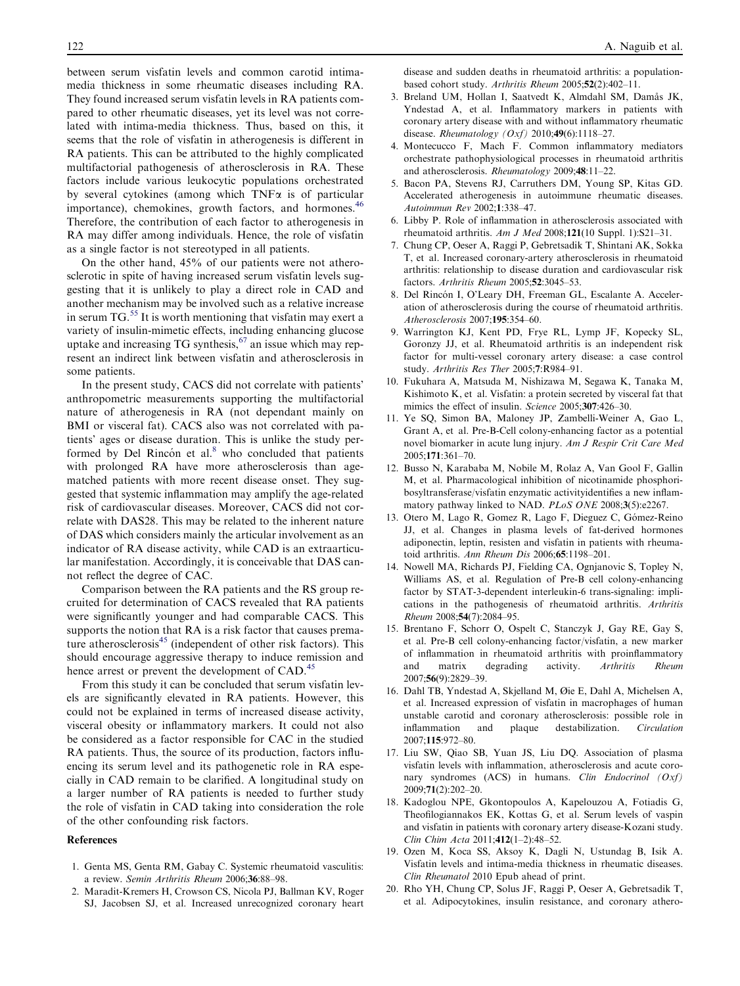<span id="page-5-0"></span>between serum visfatin levels and common carotid intimamedia thickness in some rheumatic diseases including RA. They found increased serum visfatin levels in RA patients compared to other rheumatic diseases, yet its level was not correlated with intima-media thickness. Thus, based on this, it seems that the role of visfatin in atherogenesis is different in RA patients. This can be attributed to the highly complicated multifactorial pathogenesis of atherosclerosis in RA. These factors include various leukocytic populations orchestrated by several cytokines (among which  $TNF\alpha$  is of particular importance), chemokines, growth factors, and hormones.<sup>[46](#page-6-0)</sup> Therefore, the contribution of each factor to atherogenesis in RA may differ among individuals. Hence, the role of visfatin as a single factor is not stereotyped in all patients.

On the other hand, 45% of our patients were not atherosclerotic in spite of having increased serum visfatin levels suggesting that it is unlikely to play a direct role in CAD and another mechanism may be involved such as a relative increase in serum  $TG$ <sup>[55](#page-6-0)</sup> It is worth mentioning that visfatin may exert a variety of insulin-mimetic effects, including enhancing glucose uptake and increasing  $TG$  synthesis,  $67$  an issue which may represent an indirect link between visfatin and atherosclerosis in some patients.

In the present study, CACS did not correlate with patients' anthropometric measurements supporting the multifactorial nature of atherogenesis in RA (not dependant mainly on BMI or visceral fat). CACS also was not correlated with patients' ages or disease duration. This is unlike the study performed by Del Rincón et al. $8$  who concluded that patients with prolonged RA have more atherosclerosis than agematched patients with more recent disease onset. They suggested that systemic inflammation may amplify the age-related risk of cardiovascular diseases. Moreover, CACS did not correlate with DAS28. This may be related to the inherent nature of DAS which considers mainly the articular involvement as an indicator of RA disease activity, while CAD is an extraarticular manifestation. Accordingly, it is conceivable that DAS cannot reflect the degree of CAC.

Comparison between the RA patients and the RS group recruited for determination of CACS revealed that RA patients were significantly younger and had comparable CACS. This supports the notion that RA is a risk factor that causes premature atherosclerosis $45$  (independent of other risk factors). This should encourage aggressive therapy to induce remission and hence arrest or prevent the development of CAD.<sup>[45](#page-6-0)</sup>

From this study it can be concluded that serum visfatin levels are significantly elevated in RA patients. However, this could not be explained in terms of increased disease activity, visceral obesity or inflammatory markers. It could not also be considered as a factor responsible for CAC in the studied RA patients. Thus, the source of its production, factors influencing its serum level and its pathogenetic role in RA especially in CAD remain to be clarified. A longitudinal study on a larger number of RA patients is needed to further study the role of visfatin in CAD taking into consideration the role of the other confounding risk factors.

#### References

- 1. Genta MS, Genta RM, Gabay C. Systemic rheumatoid vasculitis: a review. Semin Arthritis Rheum 2006;36:88–98.
- 2. Maradit-Kremers H, Crowson CS, Nicola PJ, Ballman KV, Roger SJ, Jacobsen SJ, et al. Increased unrecognized coronary heart

disease and sudden deaths in rheumatoid arthritis: a populationbased cohort study. Arthritis Rheum 2005;52(2):402–11.

- 3. Breland UM, Hollan I, Saatvedt K, Almdahl SM, Damås JK, Yndestad A, et al. Inflammatory markers in patients with coronary artery disease with and without inflammatory rheumatic disease. *Rheumatology* (*Oxf*) 2010;49(6):1118–27.
- 4. Montecucco F, Mach F. Common inflammatory mediators orchestrate pathophysiological processes in rheumatoid arthritis and atherosclerosis. Rheumatology 2009;48:11–22.
- 5. Bacon PA, Stevens RJ, Carruthers DM, Young SP, Kitas GD. Accelerated atherogenesis in autoimmune rheumatic diseases. Autoimmun Rev 2002;1:338–47.
- 6. Libby P. Role of inflammation in atherosclerosis associated with rheumatoid arthritis. Am J Med 2008;121(10 Suppl. 1):S21-31.
- 7. Chung CP, Oeser A, Raggi P, Gebretsadik T, Shintani AK, Sokka T, et al. Increased coronary-artery atherosclerosis in rheumatoid arthritis: relationship to disease duration and cardiovascular risk factors. Arthritis Rheum 2005;52:3045–53.
- 8. Del Rincón I, O'Leary DH, Freeman GL, Escalante A. Acceleration of atherosclerosis during the course of rheumatoid arthritis. Atherosclerosis 2007;195:354–60.
- 9. Warrington KJ, Kent PD, Frye RL, Lymp JF, Kopecky SL, Goronzy JJ, et al. Rheumatoid arthritis is an independent risk factor for multi-vessel coronary artery disease: a case control study. Arthritis Res Ther 2005;7:R984–91.
- 10. Fukuhara A, Matsuda M, Nishizawa M, Segawa K, Tanaka M, Kishimoto K, et al. Visfatin: a protein secreted by visceral fat that mimics the effect of insulin. Science 2005;307:426-30.
- 11. Ye SQ, Simon BA, Maloney JP, Zambelli-Weiner A, Gao L, Grant A, et al. Pre-B-Cell colony-enhancing factor as a potential novel biomarker in acute lung injury. Am J Respir Crit Care Med 2005;171:361–70.
- 12. Busso N, Karababa M, Nobile M, Rolaz A, Van Gool F, Gallin M, et al. Pharmacological inhibition of nicotinamide phosphoribosyltransferase/visfatin enzymatic activityidentifies a new inflammatory pathway linked to NAD. PLoS ONE 2008;3(5):e2267.
- 13. Otero M, Lago R, Gomez R, Lago F, Dieguez C, Gómez-Reino JJ, et al. Changes in plasma levels of fat-derived hormones adiponectin, leptin, resisten and visfatin in patients with rheumatoid arthritis. Ann Rheum Dis 2006;65:1198–201.
- 14. Nowell MA, Richards PJ, Fielding CA, Ognjanovic S, Topley N, Williams AS, et al. Regulation of Pre-B cell colony-enhancing factor by STAT-3-dependent interleukin-6 trans-signaling: implications in the pathogenesis of rheumatoid arthritis. Arthritis Rheum 2008;54(7):2084–95.
- 15. Brentano F, Schorr O, Ospelt C, Stanczyk J, Gay RE, Gay S, et al. Pre-B cell colony-enhancing factor/visfatin, a new marker of inflammation in rheumatoid arthritis with proinflammatory and matrix degrading activity. Arthritis Rheum 2007;56(9):2829–39.
- 16. Dahl TB, Yndestad A, Skjelland M, Øie E, Dahl A, Michelsen A, et al. Increased expression of visfatin in macrophages of human unstable carotid and coronary atherosclerosis: possible role in inflammation and plaque destabilization. Circulation 2007;115:972–80.
- 17. Liu SW, Qiao SB, Yuan JS, Liu DQ. Association of plasma visfatin levels with inflammation, atherosclerosis and acute coronary syndromes (ACS) in humans. Clin Endocrinol (Oxf) 2009;71(2):202–20.
- 18. Kadoglou NPE, Gkontopoulos A, Kapelouzou A, Fotiadis G, Theofilogiannakos EK, Kottas G, et al. Serum levels of vaspin and visfatin in patients with coronary artery disease-Kozani study. Clin Chim Acta 2011;412(1–2):48–52.
- 19. Ozen M, Koca SS, Aksoy K, Dagli N, Ustundag B, Isik A. Visfatin levels and intima-media thickness in rheumatic diseases. Clin Rheumatol 2010 Epub ahead of print.
- 20. Rho YH, Chung CP, Solus JF, Raggi P, Oeser A, Gebretsadik T, et al. Adipocytokines, insulin resistance, and coronary athero-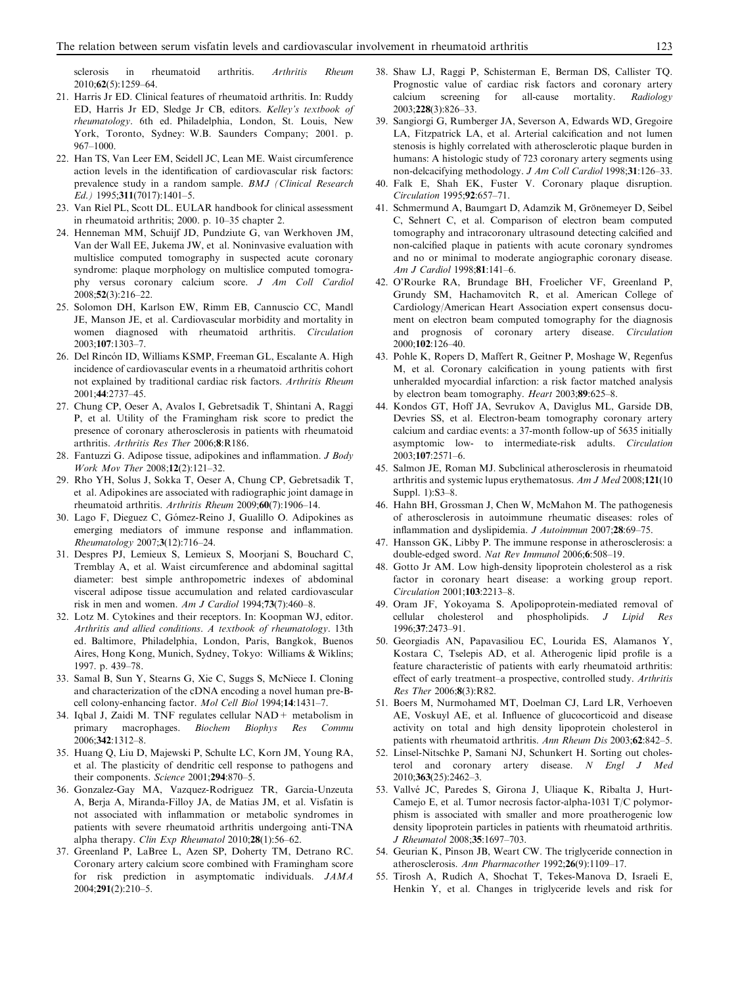<span id="page-6-0"></span>sclerosis in rheumatoid arthritis. Arthritis Rheum 2010;62(5):1259–64.

- 21. Harris Jr ED. Clinical features of rheumatoid arthritis. In: Ruddy ED, Harris Jr ED, Sledge Jr CB, editors. Kelley's textbook of rheumatology. 6th ed. Philadelphia, London, St. Louis, New York, Toronto, Sydney: W.B. Saunders Company; 2001. p. 967–1000.
- 22. Han TS, Van Leer EM, Seidell JC, Lean ME. Waist circumference action levels in the identification of cardiovascular risk factors: prevalence study in a random sample. BMJ (Clinical Research Ed.) 1995;311(7017):1401–5.
- 23. Van Riel PL, Scott DL. EULAR handbook for clinical assessment in rheumatoid arthritis; 2000. p. 10–35 chapter 2.
- 24. Henneman MM, Schuijf JD, Pundziute G, van Werkhoven JM, Van der Wall EE, Jukema JW, et al. Noninvasive evaluation with multislice computed tomography in suspected acute coronary syndrome: plaque morphology on multislice computed tomography versus coronary calcium score. J Am Coll Cardiol 2008;52(3):216–22.
- 25. Solomon DH, Karlson EW, Rimm EB, Cannuscio CC, Mandl JE, Manson JE, et al. Cardiovascular morbidity and mortality in women diagnosed with rheumatoid arthritis. Circulation 2003;107:1303–7.
- 26. Del Rincón ID, Williams KSMP, Freeman GL, Escalante A. High incidence of cardiovascular events in a rheumatoid arthritis cohort not explained by traditional cardiac risk factors. Arthritis Rheum 2001;44:2737–45.
- 27. Chung CP, Oeser A, Avalos I, Gebretsadik T, Shintani A, Raggi P, et al. Utility of the Framingham risk score to predict the presence of coronary atherosclerosis in patients with rheumatoid arthritis. Arthritis Res Ther 2006;8:R186.
- 28. Fantuzzi G. Adipose tissue, adipokines and inflammation. J Body Work Mov Ther 2008;12(2):121–32.
- 29. Rho YH, Solus J, Sokka T, Oeser A, Chung CP, Gebretsadik T, et al. Adipokines are associated with radiographic joint damage in rheumatoid arthritis. Arthritis Rheum 2009;60(7):1906–14.
- 30. Lago F, Dieguez C, Go´mez-Reino J, Gualillo O. Adipokines as emerging mediators of immune response and inflammation. Rheumatology 2007;3(12):716–24.
- 31. Despres PJ, Lemieux S, Lemieux S, Moorjani S, Bouchard C, Tremblay A, et al. Waist circumference and abdominal sagittal diameter: best simple anthropometric indexes of abdominal visceral adipose tissue accumulation and related cardiovascular risk in men and women. Am J Cardiol 1994;73(7):460-8.
- 32. Lotz M. Cytokines and their receptors. In: Koopman WJ, editor. Arthritis and allied conditions. A textbook of rheumatology. 13th ed. Baltimore, Philadelphia, London, Paris, Bangkok, Buenos Aires, Hong Kong, Munich, Sydney, Tokyo: Williams & Wiklins; 1997. p. 439–78.
- 33. Samal B, Sun Y, Stearns G, Xie C, Suggs S, McNiece I. Cloning and characterization of the cDNA encoding a novel human pre-Bcell colony-enhancing factor. Mol Cell Biol 1994;14:1431–7.
- 34. Iqbal J, Zaidi M. TNF regulates cellular NAD+ metabolism in primary macrophages. Biochem Biophys Res Commu 2006;342:1312–8.
- 35. Huang Q, Liu D, Majewski P, Schulte LC, Korn JM, Young RA, et al. The plasticity of dendritic cell response to pathogens and their components. Science 2001;294:870-5.
- 36. Gonzalez-Gay MA, Vazquez-Rodriguez TR, Garcia-Unzeuta A, Berja A, Miranda-Filloy JA, de Matias JM, et al. Visfatin is not associated with inflammation or metabolic syndromes in patients with severe rheumatoid arthritis undergoing anti-TNA alpha therapy. Clin Exp Rheumatol 2010;28(1):56–62.
- 37. Greenland P, LaBree L, Azen SP, Doherty TM, Detrano RC. Coronary artery calcium score combined with Framingham score for risk prediction in asymptomatic individuals. JAMA 2004;291(2):210–5.
- 38. Shaw LJ, Raggi P, Schisterman E, Berman DS, Callister TQ. Prognostic value of cardiac risk factors and coronary artery calcium screening for all-cause mortality. Radiology 2003;228(3):826–33.
- 39. Sangiorgi G, Rumberger JA, Severson A, Edwards WD, Gregoire LA, Fitzpatrick LA, et al. Arterial calcification and not lumen stenosis is highly correlated with atherosclerotic plaque burden in humans: A histologic study of 723 coronary artery segments using non-delcacifying methodology. J Am Coll Cardiol 1998;31:126–33.
- 40. Falk E, Shah EK, Fuster V. Coronary plaque disruption. Circulation 1995;92:657–71.
- 41. Schmermund A, Baumgart D, Adamzik M, Grönemeyer D, Seibel C, Sehnert C, et al. Comparison of electron beam computed tomography and intracoronary ultrasound detecting calcified and non-calcified plaque in patients with acute coronary syndromes and no or minimal to moderate angiographic coronary disease. Am J Cardiol 1998;81:141–6.
- 42. O'Rourke RA, Brundage BH, Froelicher VF, Greenland P, Grundy SM, Hachamovitch R, et al. American College of Cardiology/American Heart Association expert consensus document on electron beam computed tomography for the diagnosis and prognosis of coronary artery disease. Circulation 2000;102:126–40.
- 43. Pohle K, Ropers D, Maffert R, Geitner P, Moshage W, Regenfus M, et al. Coronary calcification in young patients with first unheralded myocardial infarction: a risk factor matched analysis by electron beam tomography. Heart 2003;89:625–8.
- 44. Kondos GT, Hoff JA, Sevrukov A, Daviglus ML, Garside DB, Devries SS, et al. Electron-beam tomography coronary artery calcium and cardiac events: a 37-month follow-up of 5635 initially asymptomic low- to intermediate-risk adults. Circulation 2003;107:2571–6.
- 45. Salmon JE, Roman MJ. Subclinical atherosclerosis in rheumatoid arthritis and systemic lupus erythematosus. Am J Med 2008;121(10 Suppl. 1):S3–8.
- 46. Hahn BH, Grossman J, Chen W, McMahon M. The pathogenesis of atherosclerosis in autoimmune rheumatic diseases: roles of inflammation and dyslipidemia. J Autoimmun 2007;28:69–75.
- 47. Hansson GK, Libby P. The immune response in atherosclerosis: a double-edged sword. Nat Rev Immunol 2006;6:508–19.
- 48. Gotto Jr AM. Low high-density lipoprotein cholesterol as a risk factor in coronary heart disease: a working group report. Circulation 2001;103:2213–8.
- 49. Oram JF, Yokoyama S. Apolipoprotein-mediated removal of cellular cholesterol and phospholipids. J Lipid Res 1996;37:2473–91.
- 50. Georgiadis AN, Papavasiliou EC, Lourida ES, Alamanos Y, Kostara C, Tselepis AD, et al. Atherogenic lipid profile is a feature characteristic of patients with early rheumatoid arthritis: effect of early treatment–a prospective, controlled study. Arthritis Res Ther 2006;8(3):R82.
- 51. Boers M, Nurmohamed MT, Doelman CJ, Lard LR, Verhoeven AE, Voskuyl AE, et al. Influence of glucocorticoid and disease activity on total and high density lipoprotein cholesterol in patients with rheumatoid arthritis. Ann Rheum Dis 2003;62:842–5.
- 52. Linsel-Nitschke P, Samani NJ, Schunkert H. Sorting out cholesterol and coronary artery disease. N Engl J Med 2010;363(25):2462–3.
- 53. Vallvé JC, Paredes S, Girona J, Uliaque K, Ribalta J, Hurt-Camejo E, et al. Tumor necrosis factor-alpha-1031 T/C polymorphism is associated with smaller and more proatherogenic low density lipoprotein particles in patients with rheumatoid arthritis. J Rheumatol 2008;35:1697–703.
- 54. Geurian K, Pinson JB, Weart CW. The triglyceride connection in atherosclerosis. Ann Pharmacother 1992;26(9):1109–17.
- 55. Tirosh A, Rudich A, Shochat T, Tekes-Manova D, Israeli E, Henkin Y, et al. Changes in triglyceride levels and risk for